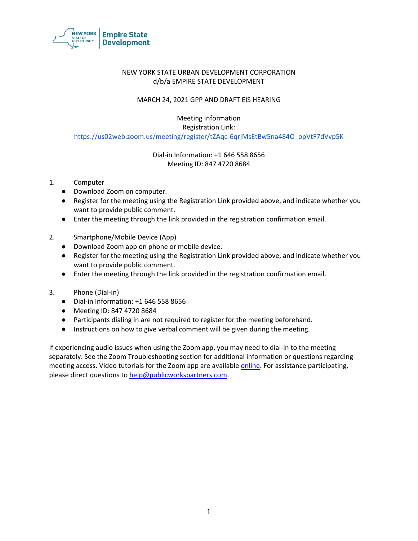

### NEW YORK STATE URBAN DEVELOPMENT CORPORATION d/b/a EMPIRE STATE DEVELOPMENT

### MARCH 24, 2021 GPP AND DRAFT EIS HEARING

Meeting Information Registration Link: [https://us02web.zoom.us/meeting/register/tZAqc-6qrjMsEtBw5na484O\\_opVtF7dVvp5K](https://us02web.zoom.us/meeting/register/tZAqc-6qrjMsEtBw5na484O_opVtF7dVvp5K)

> Dial-in Information: +1 646 558 8656 Meeting ID: 847 4720 8684

- 1. Computer
	- Download Zoom on computer.
	- Register for the meeting using the Registration Link provided above, and indicate whether you want to provide public comment.
	- Enter the meeting through the link provided in the registration confirmation email.
- 2. Smartphone/Mobile Device (App)
	- Download Zoom app on phone or mobile device.
	- Register for the meeting using the Registration Link provided above, and indicate whether you want to provide public comment.
	- Enter the meeting through the link provided in the registration confirmation email.
- 3. Phone (Dial-in)
	- Dial-in Information: +1 646 558 8656
	- Meeting ID: 847 4720 8684
	- Participants dialing in are not required to register for the meeting beforehand.
	- Instructions on how to give verbal comment will be given during the meeting.

If experiencing audio issues when using the Zoom app, you may need to dial-in to the meeting separately. See the Zoom Troubleshooting section for additional information or questions regarding meeting access. Video tutorials for the Zoom app are available [online.](https://support.zoom.us/hc/en-us) For assistance participating, please direct questions t[o help@publicworkspartners.com.](mailto:help@publicworkspartners.com)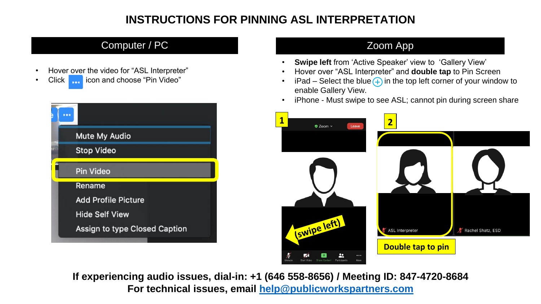### **INSTRUCTIONS FOR PINNING ASL INTERPRETATION**

### Computer / PC 200 and 200 and 200 and 200 and 200 and 200 and 200 and 200 and 200 and 200 and 200 and 200 and 200 and 200 and 200 and 200 and 200 and 200 and 200 and 200 and 200 and 200 and 200 and 200 and 200 and 200 and

- Hover over the video for "ASL Interpreter"
- Click **in the licon and choose "Pin Video"**

| $\bullet$                     |
|-------------------------------|
| <b>Mute My Audio</b>          |
| <b>Stop Video</b>             |
| Pin Video                     |
| Rename                        |
| <b>Add Profile Picture</b>    |
| <b>Hide Self View</b>         |
| Assign to type Closed Caption |

- **Swipe left** from 'Active Speaker' view to 'Gallery View'
- Hover over "ASL Interpreter" and **double tap** to Pin Screen
- $iPad Select the blue + in the top left corner of your window to$ enable Gallery View.
- iPhone Must swipe to see ASL; cannot pin during screen share



**If experiencing audio issues, dial-in: +1 (646 558-8656) / Meeting ID: 847-4720-8684 For technical issues, email [help@publicworkspartners.com](mailto:help@publicworkspartners.com)**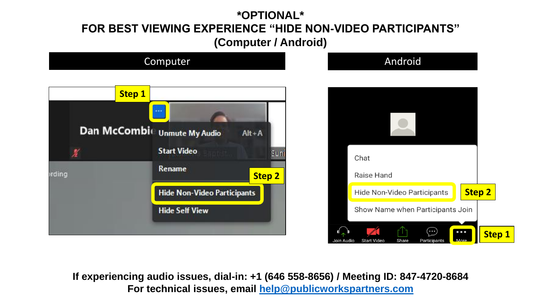## **\*OPTIONAL\* FOR BEST VIEWING EXPERIENCE "HIDE NON-VIDEO PARTICIPANTS" (Computer / Android)**



**If experiencing audio issues, dial-in: +1 (646 558-8656) / Meeting ID: 847-4720-8684 For technical issues, email [help@publicworkspartners.com](mailto:help@publicworkspartners.com)**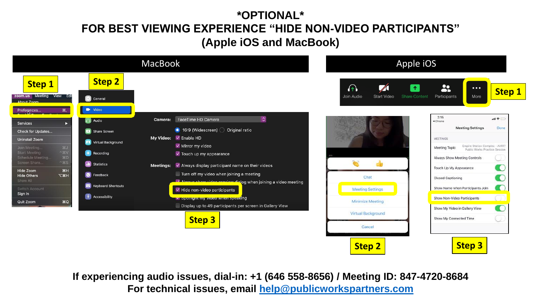## **\*OPTIONAL\* FOR BEST VIEWING EXPERIENCE "HIDE NON-VIDEO PARTICIPANTS" (Apple iOS and MacBook)**



**If experiencing audio issues, dial-in: +1 (646 558-8656) / Meeting ID: 847-4720-8684 For technical issues, email [help@publicworkspartners.com](mailto:help@publicworkspartners.com)**